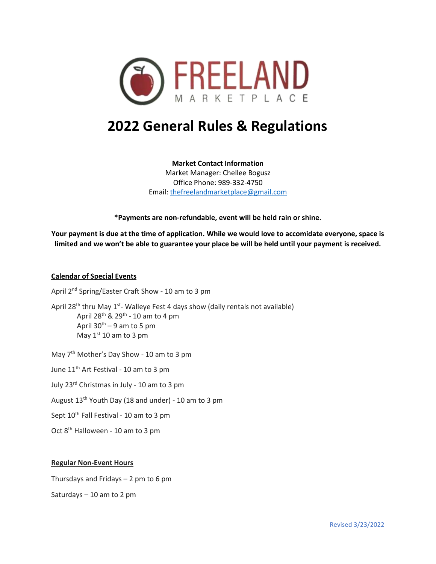

# **2022 General Rules & Regulations**

**Market Contact Information** Market Manager: Chellee Bogusz Office Phone: 989-332-4750 Email: [thefreelandmarketplace@gmail.com](mailto:thefreelandmarketplace@gmail.com)

**\*Payments are non-refundable, event will be held rain or shine.**

**Your payment is due at the time of application. While we would love to accomidate everyone, space is limited and we won't be able to guarantee your place be will be held until your payment is received.**

#### **Calendar of Special Events**

April 2<sup>nd</sup> Spring/Easter Craft Show - 10 am to 3 pm

April 28<sup>th</sup> thru May 1<sup>st</sup>- Walleye Fest 4 days show (daily rentals not available) April 28<sup>th</sup> & 29<sup>th</sup> - 10 am to 4 pm April  $30^{th} - 9$  am to 5 pm May  $1<sup>st</sup> 10$  am to 3 pm

May 7<sup>th</sup> Mother's Day Show - 10 am to 3 pm

June 11<sup>th</sup> Art Festival - 10 am to 3 pm

July 23rd Christmas in July - 10 am to 3 pm

August 13th Youth Day (18 and under) - 10 am to 3 pm

Sept 10<sup>th</sup> Fall Festival - 10 am to 3 pm

Oct 8th Halloween - 10 am to 3 pm

#### **Regular Non-Event Hours**

Thursdays and Fridays – 2 pm to 6 pm

Saturdays – 10 am to 2 pm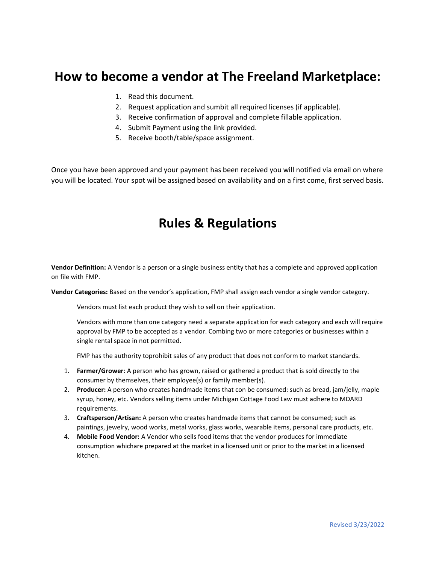## **How to become a vendor at The Freeland Marketplace:**

- 1. Read this document.
- 2. Request application and sumbit all required licenses (if applicable).
- 3. Receive confirmation of approval and complete fillable application.
- 4. Submit Payment using the link provided.
- 5. Receive booth/table/space assignment.

Once you have been approved and your payment has been received you will notified via email on where you will be located. Your spot wil be assigned based on availability and on a first come, first served basis.

## **Rules & Regulations**

**Vendor Definition:** A Vendor is a person or a single business entity that has a complete and approved application on file with FMP.

**Vendor Categories:** Based on the vendor's application, FMP shall assign each vendor a single vendor category.

Vendors must list each product they wish to sell on their application.

Vendors with more than one category need a separate application for each category and each will require approval by FMP to be accepted as a vendor. Combing two or more categories or businesses within a single rental space in not permitted.

FMP has the authority toprohibit sales of any product that does not conform to market standards.

- 1. **Farmer/Grower**: A person who has grown, raised or gathered a product that is sold directly to the consumer by themselves, their employee(s) or family member(s).
- 2. **Producer:** A person who creates handmade items that con be consumed: such as bread, jam/jelly, maple syrup, honey, etc. Vendors selling items under Michigan Cottage Food Law must adhere to MDARD requirements.
- 3. **Craftsperson/Artisan:** A person who creates handmade items that cannot be consumed; such as paintings, jewelry, wood works, metal works, glass works, wearable items, personal care products, etc.
- 4. **Mobile Food Vendor:** A Vendor who sells food items that the vendor produces for immediate consumption whichare prepared at the market in a licensed unit or prior to the market in a licensed kitchen.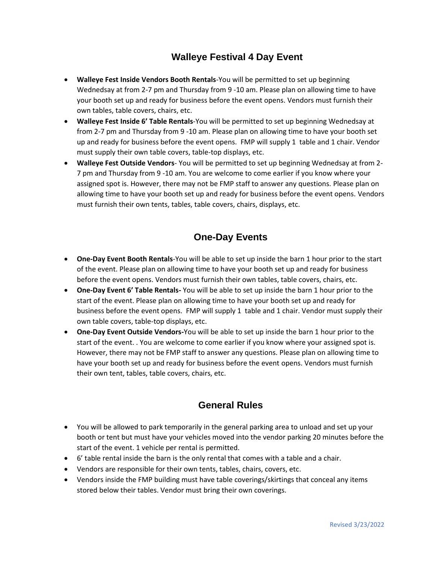### **Walleye Festival 4 Day Event**

- **Walleye Fest Inside Vendors Booth Rentals**-You will be permitted to set up beginning Wednedsay at from 2-7 pm and Thursday from 9 -10 am. Please plan on allowing time to have your booth set up and ready for business before the event opens. Vendors must furnish their own tables, table covers, chairs, etc.
- **Walleye Fest Inside 6' Table Rentals**-You will be permitted to set up beginning Wednedsay at from 2-7 pm and Thursday from 9 -10 am. Please plan on allowing time to have your booth set up and ready for business before the event opens. FMP will supply 1 table and 1 chair. Vendor must supply their own table covers, table-top displays, etc.
- **Walleye Fest Outside Vendors** You will be permitted to set up beginning Wednedsay at from 2- 7 pm and Thursday from 9 -10 am. You are welcome to come earlier if you know where your assigned spot is. However, there may not be FMP staff to answer any questions. Please plan on allowing time to have your booth set up and ready for business before the event opens. Vendors must furnish their own tents, tables, table covers, chairs, displays, etc.

## **One-Day Events**

- **One-Day Event Booth Rentals**-You will be able to set up inside the barn 1 hour prior to the start of the event. Please plan on allowing time to have your booth set up and ready for business before the event opens. Vendors must furnish their own tables, table covers, chairs, etc.
- **One-Day Event 6' Table Rentals-** You will be able to set up inside the barn 1 hour prior to the start of the event. Please plan on allowing time to have your booth set up and ready for business before the event opens. FMP will supply 1 table and 1 chair. Vendor must supply their own table covers, table-top displays, etc.
- **One-Day Event Outside Vendors-**You will be able to set up inside the barn 1 hour prior to the start of the event. . You are welcome to come earlier if you know where your assigned spot is. However, there may not be FMP staff to answer any questions. Please plan on allowing time to have your booth set up and ready for business before the event opens. Vendors must furnish their own tent, tables, table covers, chairs, etc.

### **General Rules**

- You will be allowed to park temporarily in the general parking area to unload and set up your booth or tent but must have your vehicles moved into the vendor parking 20 minutes before the start of the event. 1 vehicle per rental is permitted.
- 6' table rental inside the barn is the only rental that comes with a table and a chair.
- Vendors are responsible for their own tents, tables, chairs, covers, etc.
- Vendors inside the FMP building must have table coverings/skirtings that conceal any items stored below their tables. Vendor must bring their own coverings.